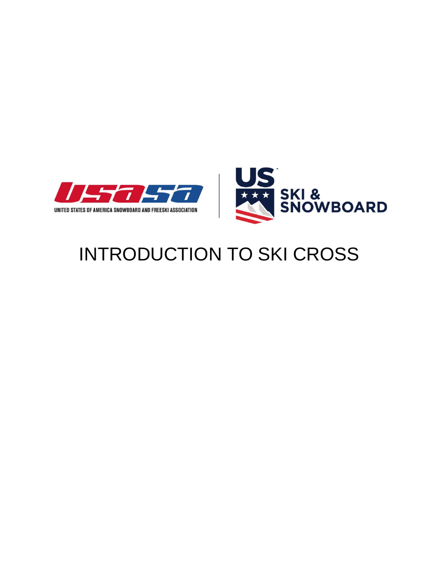



# INTRODUCTION TO SKI CROSS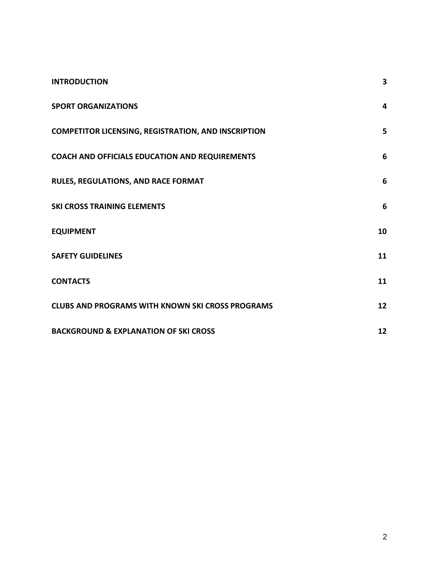<span id="page-1-0"></span>

| <b>INTRODUCTION</b>                                        | 3  |
|------------------------------------------------------------|----|
| <b>SPORT ORGANIZATIONS</b>                                 | 4  |
| <b>COMPETITOR LICENSING, REGISTRATION, AND INSCRIPTION</b> | 5  |
| COACH AND OFFICIALS EDUCATION AND REQUIREMENTS             | 6  |
| RULES, REGULATIONS, AND RACE FORMAT                        | 6  |
| <b>SKI CROSS TRAINING ELEMENTS</b>                         | 6  |
| <b>EQUIPMENT</b>                                           | 10 |
| <b>SAFETY GUIDELINES</b>                                   | 11 |
| <b>CONTACTS</b>                                            | 11 |
| <b>CLUBS AND PROGRAMS WITH KNOWN SKI CROSS PROGRAMS</b>    | 12 |
| <b>BACKGROUND &amp; EXPLANATION OF SKI CROSS</b>           | 12 |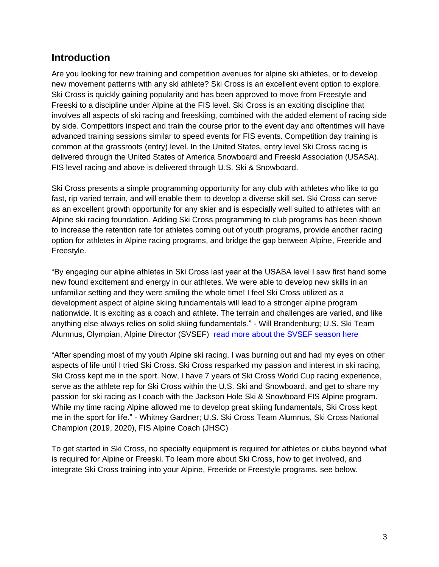# **Introduction**

Are you looking for new training and competition avenues for alpine ski athletes, or to develop new movement patterns with any ski athlete? Ski Cross is an excellent event option to explore. Ski Cross is quickly gaining popularity and has been approved to move from Freestyle and Freeski to a discipline under Alpine at the FIS level. Ski Cross is an exciting discipline that involves all aspects of ski racing and freeskiing, combined with the added element of racing side by side. Competitors inspect and train the course prior to the event day and oftentimes will have advanced training sessions similar to speed events for FIS events. Competition day training is common at the grassroots (entry) level. In the United States, entry level Ski Cross racing is delivered through the United States of America Snowboard and Freeski Association (USASA). FIS level racing and above is delivered through U.S. Ski & Snowboard.

Ski Cross presents a simple programming opportunity for any club with athletes who like to go fast, rip varied terrain, and will enable them to develop a diverse skill set. Ski Cross can serve as an excellent growth opportunity for any skier and is especially well suited to athletes with an Alpine ski racing foundation. Adding Ski Cross programming to club programs has been shown to increase the retention rate for athletes coming out of youth programs, provide another racing option for athletes in Alpine racing programs, and bridge the gap between Alpine, Freeride and Freestyle.

"By engaging our alpine athletes in Ski Cross last year at the USASA level I saw first hand some new found excitement and energy in our athletes. We were able to develop new skills in an unfamiliar setting and they were smiling the whole time! I feel Ski Cross utilized as a development aspect of alpine skiing fundamentals will lead to a stronger alpine program nationwide. It is exciting as a coach and athlete. The terrain and challenges are varied, and like anything else always relies on solid skiing fundamentals." - Will Brandenburg; U.S. Ski Team Alumnus, Olympian, Alpine Director (SVSEF) [read more about the SVSEF season here](https://skiracing.com/should-ski-cross-be-an-alpine-discipline/)

"After spending most of my youth Alpine ski racing, I was burning out and had my eyes on other aspects of life until I tried Ski Cross. Ski Cross resparked my passion and interest in ski racing, Ski Cross kept me in the sport. Now, I have 7 years of Ski Cross World Cup racing experience, serve as the athlete rep for Ski Cross within the U.S. Ski and Snowboard, and get to share my passion for ski racing as I coach with the Jackson Hole Ski & Snowboard FIS Alpine program. While my time racing Alpine allowed me to develop great skiing fundamentals, Ski Cross kept me in the sport for life." - Whitney Gardner; U.S. Ski Cross Team Alumnus, Ski Cross National Champion (2019, 2020), FIS Alpine Coach (JHSC)

To get started in Ski Cross, no specialty equipment is required for athletes or clubs beyond what is required for Alpine or Freeski. To learn more about Ski Cross, how to get involved, and integrate Ski Cross training into your Alpine, Freeride or Freestyle programs, see below.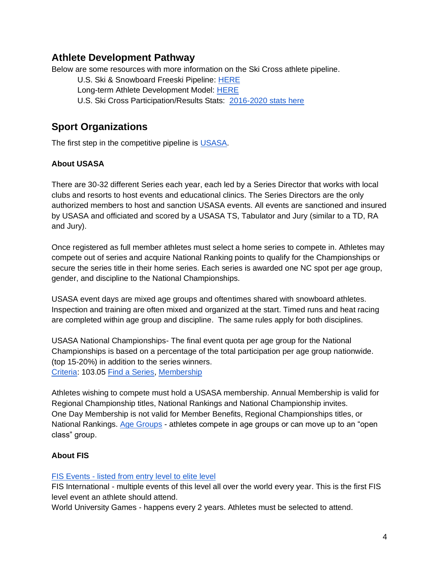# **Athlete Development Pathway**

Below are some resources with more information on the Ski Cross athlete pipeline.

U.S. Ski & Snowboard Freeski Pipeline: [HERE](https://usskiandsnowboard.org/sites/default/files/files-resources/files/2019/Freeskiing_pipeline_US-Ski%26Snowboard-19-20.pdf)

Long-term Athlete Development Model: [HERE](https://usskiandsnowboard.org/sites/default/files/files-resources/files/2017-11/Freeski%20Training%20Systems%2011-16-17_1.pdf)

U.S. Ski Cross Participation/Results Stats: [2016-2020 stats here](https://drive.google.com/file/d/1EMf9mPXBWHMgHqv5rewcdGA462O22CnL/view?usp=sharing)

# <span id="page-3-0"></span>**Sport Organizations**

The first step in the competitive pipeline is [USASA.](https://usasa.org/)

## **About USASA**

There are 30-32 different Series each year, each led by a Series Director that works with local clubs and resorts to host events and educational clinics. The Series Directors are the only authorized members to host and sanction USASA events. All events are sanctioned and insured by USASA and officiated and scored by a USASA TS, Tabulator and Jury (similar to a TD, RA and Jury).

Once registered as full member athletes must select a home series to compete in. Athletes may compete out of series and acquire National Ranking points to qualify for the Championships or secure the series title in their home series. Each series is awarded one NC spot per age group, gender, and discipline to the National Championships.

USASA event days are mixed age groups and oftentimes shared with snowboard athletes. Inspection and training are often mixed and organized at the start. Timed runs and heat racing are completed within age group and discipline. The same rules apply for both disciplines.

USASA National Championships- The final event quota per age group for the National Championships is based on a percentage of the total participation per age group nationwide. (top 15-20%) in addition to the series winners. [Criteria:](https://drive.google.com/file/d/1EKJWu4SM2tk1FHjjZj9MkWSeei923FLK/view) 103.05 [Find a Series,](https://usasa.org/?base) [Membership](https://usasa.org/members/new)

Athletes wishing to compete must hold a USASA membership. Annual Membership is valid for Regional Championship titles, National Rankings and National Championship invites. One Day Membership is not valid for Member Benefits, Regional Championships titles, or National Rankings. [Age Groups](https://usasa.org/members/pricing) - athletes compete in age groups or can move up to an "open class" group.

## **About FIS**

#### FIS Events - [listed from entry level to elite level](https://www.fis-ski.com/DB/freestyle-freeski/ski-cross/calendar-results.html?noselection=true&disciplinecode=SX)

FIS International - multiple events of this level all over the world every year. This is the first FIS level event an athlete should attend.

World University Games - happens every 2 years. Athletes must be selected to attend.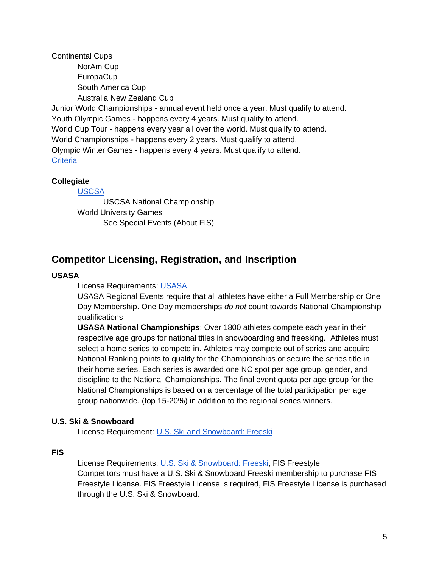Continental Cups NorAm Cup **EuropaCup** South America Cup Australia New Zealand Cup Junior World Championships - annual event held once a year. Must qualify to attend. Youth Olympic Games - happens every 4 years. Must qualify to attend. World Cup Tour - happens every year all over the world. Must qualify to attend. World Championships - happens every 2 years. Must qualify to attend. Olympic Winter Games - happens every 4 years. Must qualify to attend. **[Criteria](https://usskiandsnowboard.org/sport-programs/criteria)** 

#### **Collegiate**

#### [USCSA](https://www.uscsa.org/)

USCSA National Championship World University Games See Special Events (About FIS)

# <span id="page-4-0"></span>**Competitor Licensing, Registration, and Inscription**

#### **USASA**

License Requirements: [USASA](https://usasa.org/members/pricing)

USASA Regional Events require that all athletes have either a Full Membership or One Day Membership. One Day memberships *do not* count towards National Championship qualifications

**USASA National Championships**: Over 1800 athletes compete each year in their respective age groups for national titles in snowboarding and freesking. Athletes must select a home series to compete in. Athletes may compete out of series and acquire National Ranking points to qualify for the Championships or secure the series title in their home series. Each series is awarded one NC spot per age group, gender, and discipline to the National Championships. The final event quota per age group for the National Championships is based on a percentage of the total participation per age group nationwide. (top 15-20%) in addition to the regional series winners.

#### **U.S. Ski & Snowboard**

License Requirement: [U.S. Ski and Snowboard: Freeski](https://usskiandsnowboard.org/membership/freeski-athlete-membership)

#### **FIS**

License Requirements: [U.S. Ski & Snowboard: Freeski,](https://usskiandsnowboard.org/membership/freeski-athlete-membership) FIS Freestyle Competitors must have a U.S. Ski & Snowboard Freeski membership to purchase FIS Freestyle License. FIS Freestyle License is required, FIS Freestyle License is purchased through the U.S. Ski & Snowboard.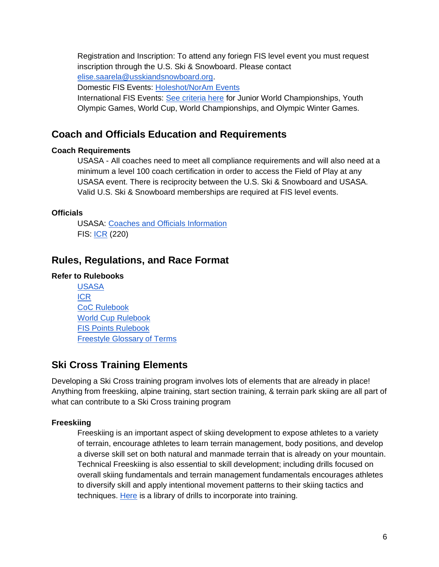Registration and Inscription: To attend any foriegn FIS level event you must request inscription through the U.S. Ski & Snowboard. Please contact [elise.saarela@usskiandsnowboard.org.](mailto:elise.saarela@usskiandsnowboard.org) Domestic FIS Events: [Holeshot/NorAm Events](https://usskiandsnowboard.org/event-series/hole-shot-cross-tour)

International FIS Events: [See criteria here](https://usskiandsnowboard.org/sport-programs/criteria) for Junior World Championships, Youth Olympic Games, World Cup, World Championships, and Olympic Winter Games.

# <span id="page-5-0"></span>**Coach and Officials Education and Requirements**

### **Coach Requirements**

USASA - All coaches need to meet all compliance requirements and will also need at a minimum a level 100 coach certification in order to access the Field of Play at any USASA event. There is reciprocity between the U.S. Ski & Snowboard and USASA. Valid U.S. Ski & Snowboard memberships are required at FIS level events.

## **Officials**

USASA: [Coaches and Officials Information](https://usasa.org/resources/coaches/coaches-information) FIS: [ICR](https://assets.fis-ski.com/image/upload/v1591109134/fis-prod/assets/SBFSFK_NEW_ICR_valid_2020-21_marked_up.pdf) (220)

# <span id="page-5-1"></span>**Rules, Regulations, and Race Format**

## **Refer to Rulebooks**

[USASA](https://drive.google.com/file/d/1EKJWu4SM2tk1FHjjZj9MkWSeei923FLK/view) [ICR](https://assets.fis-ski.com/image/upload/v1591109134/fis-prod/assets/SBFSFK_NEW_ICR_valid_2020-21_marked_up.pdf) [CoC Rulebook](https://assets.fis-ski.com/image/upload/v1592372982/fis-prod/assets/document-library/fs-sb-fk-documents/CoC_Rules_FS_SB_FK_2020_21.pdf) [World Cup Rulebook](https://assets.fis-ski.com/image/upload/v1591792318/fis-prod/assets/document-library/fs-sb-fk-documents/WC_RULES_FS_SB_FK_2020_21.pdf) [FIS Points Rulebook](https://assets.fis-ski.com/image/upload/v1592467279/fis-prod/assets/document-library/fs-sb-fk-documents/SBFSFK_FIS_Points_clean.pdf) [Freestyle Glossary of Terms](https://assets.fis-ski.com/image/upload/v1590731156/fis-prod/assets/Glossary_SBFSFK_Rules.pdf) 

# <span id="page-5-2"></span>**Ski Cross Training Elements**

Developing a Ski Cross training program involves lots of elements that are already in place! Anything from freeskiing, alpine training, start section training, & terrain park skiing are all part of what can contribute to a Ski Cross training program

## **Freeskiing**

Freeskiing is an important aspect of skiing development to expose athletes to a variety of terrain, encourage athletes to learn terrain management, body positions, and develop a diverse skill set on both natural and manmade terrain that is already on your mountain. Technical Freeskiing is also essential to skill development; including drills focused on overall skiing fundamentals and terrain management fundamentals encourages athletes to diversify skill and apply intentional movement patterns to their skiing tactics and techniques. [Here](https://videos.usskiandsnowboard.org/SportEdVideoLibrary) is a library of drills to incorporate into training.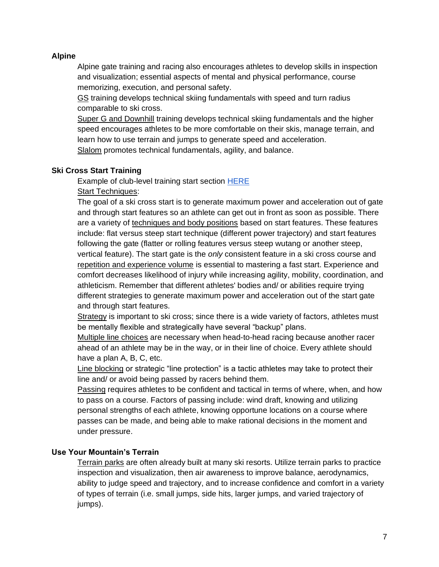#### **Alpine**

Alpine gate training and racing also encourages athletes to develop skills in inspection and visualization; essential aspects of mental and physical performance, course memorizing, execution, and personal safety.

GS training develops technical skiing fundamentals with speed and turn radius comparable to ski cross.

Super G and Downhill training develops technical skiing fundamentals and the higher speed encourages athletes to be more comfortable on their skis, manage terrain, and learn how to use terrain and jumps to generate speed and acceleration. Slalom promotes technical fundamentals, agility, and balance.

#### **Ski Cross Start Training**

Example of club-level training start section [HERE](https://youtu.be/jBpn6A08jRA) Start Techniques:

The goal of a ski cross start is to generate maximum power and acceleration out of gate and through start features so an athlete can get out in front as soon as possible. There are a variety of techniques and body positions based on start features. These features include: flat versus steep start technique (different power trajectory) and start features following the gate (flatter or rolling features versus steep wutang or another steep, vertical feature). The start gate is the *only* consistent feature in a ski cross course and repetition and experience volume is essential to mastering a fast start. Experience and comfort decreases likelihood of injury while increasing agility, mobility, coordination, and athleticism. Remember that different athletes' bodies and/ or abilities require trying different strategies to generate maximum power and acceleration out of the start gate and through start features.

Strategy is important to ski cross; since there is a wide variety of factors, athletes must be mentally flexible and strategically have several "backup" plans.

Multiple line choices are necessary when head-to-head racing because another racer ahead of an athlete may be in the way, or in their line of choice. Every athlete should have a plan A, B, C, etc.

Line blocking or strategic "line protection" is a tactic athletes may take to protect their line and/ or avoid being passed by racers behind them.

Passing requires athletes to be confident and tactical in terms of where, when, and how to pass on a course. Factors of passing include: wind draft, knowing and utilizing personal strengths of each athlete, knowing opportune locations on a course where passes can be made, and being able to make rational decisions in the moment and under pressure.

#### **Use Your Mountain's Terrain**

Terrain parks are often already built at many ski resorts. Utilize terrain parks to practice inspection and visualization, then air awareness to improve balance, aerodynamics, ability to judge speed and trajectory, and to increase confidence and comfort in a variety of types of terrain (i.e. small jumps, side hits, larger jumps, and varied trajectory of jumps).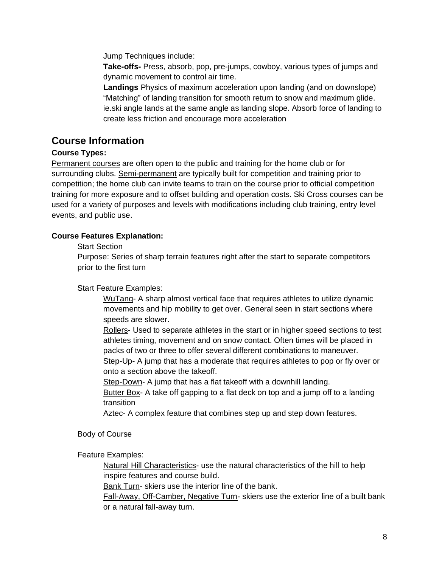Jump Techniques include:

**Take-offs-** Press, absorb, pop, pre-jumps, cowboy, various types of jumps and dynamic movement to control air time.

**Landings** Physics of maximum acceleration upon landing (and on downslope) "Matching" of landing transition for smooth return to snow and maximum glide. ie.ski angle lands at the same angle as landing slope. Absorb force of landing to create less friction and encourage more acceleration

# **Course Information**

#### **Course Types:**

Permanent courses are often open to the public and training for the home club or for surrounding clubs. Semi-permanent are typically built for competition and training prior to competition; the home club can invite teams to train on the course prior to official competition training for more exposure and to offset building and operation costs. Ski Cross courses can be used for a variety of purposes and levels with modifications including club training, entry level events, and public use.

#### **Course Features Explanation:**

Start Section

Purpose: Series of sharp terrain features right after the start to separate competitors prior to the first turn

Start Feature Examples:

WuTang- A sharp almost vertical face that requires athletes to utilize dynamic movements and hip mobility to get over. General seen in start sections where speeds are slower.

Rollers- Used to separate athletes in the start or in higher speed sections to test athletes timing, movement and on snow contact. Often times will be placed in packs of two or three to offer several different combinations to maneuver.

Step-Up- A jump that has a moderate that requires athletes to pop or fly over or onto a section above the takeoff.

Step-Down- A jump that has a flat takeoff with a downhill landing.

Butter Box- A take off gapping to a flat deck on top and a jump off to a landing transition

Aztec- A complex feature that combines step up and step down features.

Body of Course

Feature Examples:

Natural Hill Characteristics- use the natural characteristics of the hill to help inspire features and course build.

Bank Turn- skiers use the interior line of the bank.

Fall-Away, Off-Camber, Negative Turn- skiers use the exterior line of a built bank or a natural fall-away turn.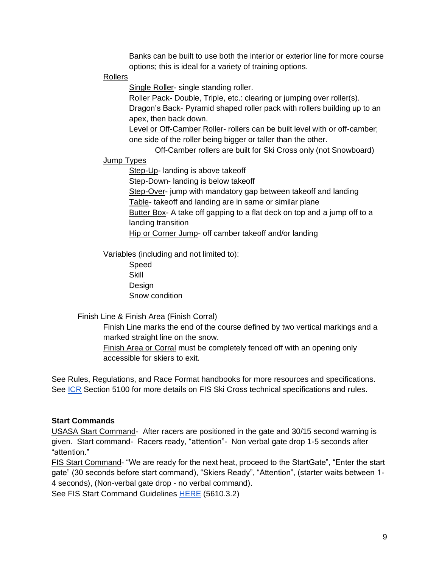Banks can be built to use both the interior or exterior line for more course options; this is ideal for a variety of training options.

#### Rollers

Single Roller- single standing roller.

Roller Pack- Double, Triple, etc.: clearing or jumping over roller(s).

Dragon's Back- Pyramid shaped roller pack with rollers building up to an apex, then back down.

Level or Off-Camber Roller- rollers can be built level with or off-camber; one side of the roller being bigger or taller than the other.

Off-Camber rollers are built for Ski Cross only (not Snowboard)

#### Jump Types

Step-Up- landing is above takeoff Step-Down- landing is below takeoff Step-Over- jump with mandatory gap between takeoff and landing Table- takeoff and landing are in same or similar plane Butter Box- A take off gapping to a flat deck on top and a jump off to a landing transition Hip or Corner Jump- off camber takeoff and/or landing

Variables (including and not limited to):

Speed **Skill Design** Snow condition

Finish Line & Finish Area (Finish Corral)

Finish Line marks the end of the course defined by two vertical markings and a marked straight line on the snow. Finish Area or Corral must be completely fenced off with an opening only

accessible for skiers to exit.

See Rules, Regulations, and Race Format handbooks for more resources and specifications. See [ICR](https://assets.fis-ski.com/image/upload/v1591109134/fis-prod/assets/SBFSFK_NEW_ICR_valid_2020-21_marked_up.pdf) Section 5100 for more details on FIS Ski Cross technical specifications and rules.

#### **Start Commands**

USASA Start Command- After racers are positioned in the gate and 30/15 second warning is given. Start command- Racers ready, "attention"- Non verbal gate drop 1-5 seconds after "attention."

FIS Start Command- "We are ready for the next heat, proceed to the StartGate", "Enter the start gate" (30 seconds before start command), "Skiers Ready", "Attention", (starter waits between 1- 4 seconds), (Non-verbal gate drop - no verbal command).

See FIS Start Command Guidelines [HERE](https://assets.fis-ski.com/image/upload/v1542730293/fis-prod/FS_FIS_Freestyle_ICR_2018_Fall_marked-up.pdf) (5610.3.2)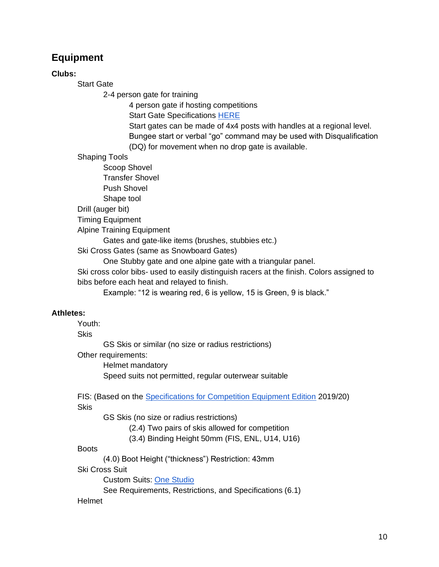# <span id="page-9-0"></span>**Equipment**

#### **Clubs:**

Start Gate

2-4 person gate for training

4 person gate if hosting competitions

Start Gate Specifications [HERE](https://wiki.fis-ski.com/index.php/Ski_Cross_Start_Gate_Standards)

Start gates can be made of 4x4 posts with handles at a regional level. Bungee start or verbal "go" command may be used with Disqualification (DQ) for movement when no drop gate is available.

Shaping Tools

Scoop Shovel Transfer Shovel Push Shovel Shape tool

Drill (auger bit)

Timing Equipment

Alpine Training Equipment

Gates and gate-like items (brushes, stubbies etc.)

Ski Cross Gates (same as Snowboard Gates)

One Stubby gate and one alpine gate with a triangular panel.

Ski cross color bibs- used to easily distinguish racers at the finish. Colors assigned to bibs before each heat and relayed to finish.

Example: "12 is wearing red, 6 is yellow, 15 is Green, 9 is black."

#### **Athletes:**

Youth:

**Skis** 

GS Skis or similar (no size or radius restrictions)

Other requirements:

Helmet mandatory Speed suits not permitted, regular outerwear suitable

FIS: (Based on the [Specifications for Competition Equipment Edition](https://assets.fis-ski.com/image/upload/v1544086634/fis-prod/Specifications_for_CC_JP_NC_SB_FS_FK_Competiton_Equipment.pdf) 2019/20) Skis

GS Skis (no size or radius restrictions)

(2.4) Two pairs of skis allowed for competition

(3.4) Binding Height 50mm (FIS, ENL, U14, U16)

#### **Boots**

(4.0) Boot Height ("thickness") Restriction: 43mm

Ski Cross Suit

Custom Suits: [One Studio](https://www.onestudio.nz/)

See Requirements, Restrictions, and Specifications (6.1)

#### Helmet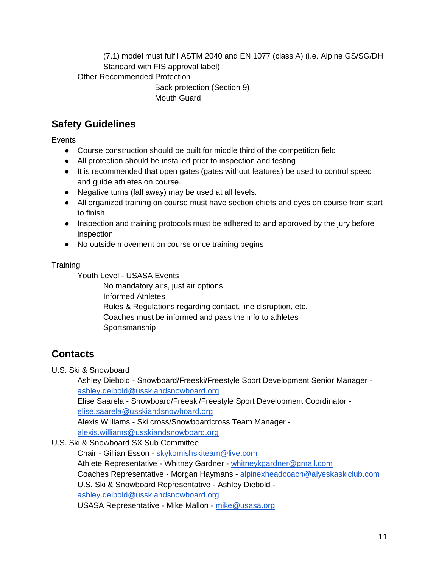(7.1) model must fulfil ASTM 2040 and EN 1077 (class A) (i.e. Alpine GS/SG/DH Standard with FIS approval label)

Other Recommended Protection

Back protection (Section 9) Mouth Guard

# <span id="page-10-0"></span>**Safety Guidelines**

**Events** 

- Course construction should be built for middle third of the competition field
- All protection should be installed prior to inspection and testing
- It is recommended that open gates (gates without features) be used to control speed and guide athletes on course.
- Negative turns (fall away) may be used at all levels.
- All organized training on course must have section chiefs and eyes on course from start to finish.
- Inspection and training protocols must be adhered to and approved by the jury before inspection
- No outside movement on course once training begins

## **Training**

Youth Level - USASA Events

No mandatory airs, just air options Informed Athletes Rules & Regulations regarding contact, line disruption, etc. Coaches must be informed and pass the info to athletes Sportsmanship

# <span id="page-10-1"></span>**Contacts**

U.S. Ski & Snowboard

Ashley Diebold - Snowboard/Freeski/Freestyle Sport Development Senior Manager [ashley.deibold@usskiandsnowboard.org](mailto:ashley.deibold@usskiandsnowboard.org) Elise Saarela - Snowboard/Freeski/Freestyle Sport Development Coordinator [elise.saarela@usskiandsnowboard.org](mailto:elise.saarela@usskiandsnowboard.org) Alexis Williams - Ski cross/Snowboardcross Team Manager [alexis.williams@usskiandsnowboard.org](mailto:alexis.williams@usskiandsnowboard.org)

U.S. Ski & Snowboard SX Sub Committee

Chair - Gillian Esson - [skykomishskiteam@live.com](mailto:skykomishskiteam@live.com) Athlete Representative - Whitney Gardner - [whitneykgardner@gmail.com](mailto:whitneykgardner@gmail.com) Coaches Representative - Morgan Haymans - [alpinexheadcoach@alyeskaskiclub.com](mailto:alpinexheadcoach@alyeskaskiclub.com)  U.S. Ski & Snowboard Representative - Ashley Diebold [ashley.deibold@usskiandsnowboard.org](mailto:ashley.deibold@usskiandsnowboard.org) USASA Representative - Mike Mallon - [mike@usasa.org](mailto:mike@usasa.org)

11